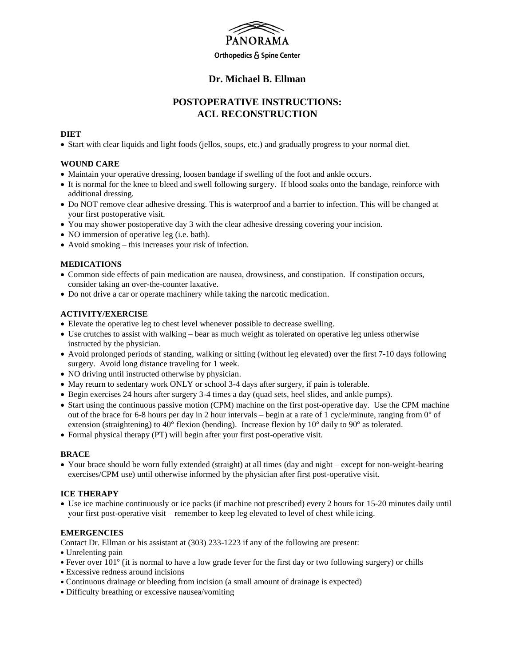

## **Dr. Michael B. Ellman**

# **POSTOPERATIVE INSTRUCTIONS: ACL RECONSTRUCTION**

#### **DIET**

Start with clear liquids and light foods (jellos, soups, etc.) and gradually progress to your normal diet.

### **WOUND CARE**

- Maintain your operative dressing, loosen bandage if swelling of the foot and ankle occurs.
- It is normal for the knee to bleed and swell following surgery. If blood soaks onto the bandage, reinforce with additional dressing.
- Do NOT remove clear adhesive dressing. This is waterproof and a barrier to infection. This will be changed at your first postoperative visit.
- You may shower postoperative day 3 with the clear adhesive dressing covering your incision.
- NO immersion of operative leg (i.e. bath).
- Avoid smoking this increases your risk of infection.

#### **MEDICATIONS**

- Common side effects of pain medication are nausea, drowsiness, and constipation. If constipation occurs, consider taking an over-the-counter laxative.
- Do not drive a car or operate machinery while taking the narcotic medication.

#### **ACTIVITY/EXERCISE**

- Elevate the operative leg to chest level whenever possible to decrease swelling.
- Use crutches to assist with walking bear as much weight as tolerated on operative leg unless otherwise instructed by the physician.
- Avoid prolonged periods of standing, walking or sitting (without leg elevated) over the first 7-10 days following surgery. Avoid long distance traveling for 1 week.
- NO driving until instructed otherwise by physician.
- May return to sedentary work ONLY or school 3-4 days after surgery, if pain is tolerable.
- Begin exercises 24 hours after surgery 3-4 times a day (quad sets, heel slides, and ankle pumps).
- Start using the continuous passive motion (CPM) machine on the first post-operative day. Use the CPM machine out of the brace for 6-8 hours per day in 2 hour intervals – begin at a rate of 1 cycle/minute, ranging from 0° of extension (straightening) to 40° flexion (bending). Increase flexion by 10° daily to 90° as tolerated.
- Formal physical therapy (PT) will begin after your first post-operative visit.

#### **BRACE**

 Your brace should be worn fully extended (straight) at all times (day and night – except for non-weight-bearing exercises/CPM use) until otherwise informed by the physician after first post-operative visit.

#### **ICE THERAPY**

 Use ice machine continuously or ice packs (if machine not prescribed) every 2 hours for 15-20 minutes daily until your first post-operative visit – remember to keep leg elevated to level of chest while icing.

#### **EMERGENCIES**

Contact Dr. Ellman or his assistant at (303) 233-1223 if any of the following are present:

- Unrelenting pain
- Fever over 101° (it is normal to have a low grade fever for the first day or two following surgery) or chills
- Excessive redness around incisions
- Continuous drainage or bleeding from incision (a small amount of drainage is expected)
- Difficulty breathing or excessive nausea/vomiting